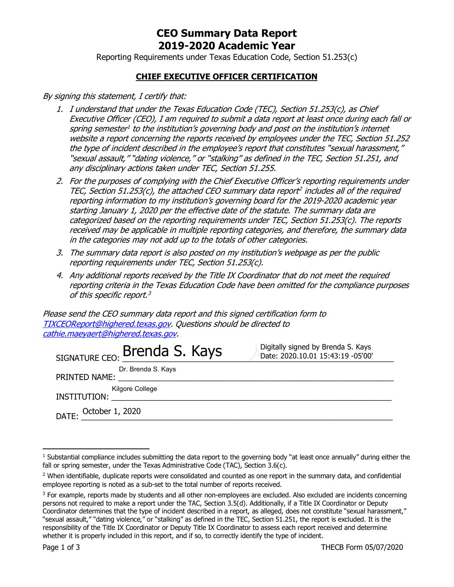## **CEO Summary Data Report 2019-2020 Academic Year**

Reporting Requirements under Texas Education Code, Section 51.253(c)

### **CHIEF EXECUTIVE OFFICER CERTIFICATION**

By signing this statement, I certify that:

- 1. I understand that under the Texas Education Code (TEC), Section 51.253(c), as Chief Executive Officer (CEO), I am required to submit a data report at least once during each fall or spring semester<sup>1</sup> to the institution's governing body and post on the institution's internet website a report concerning the reports received by employees under the TEC, Section 51.252 the type of incident described in the employee's report that constitutes "sexual harassment,' "sexual assault," "dating violence," or "stalking" as defined in the TEC, Section 51.251, and any disciplinary actions taken under TEC, Section 51.255.
- 2. For the purposes of complying with the Chief Executive Officer's reporting requirements under TEC, Section 51.253(c), the attached CEO summary data report<sup>2</sup> includes all of the required reporting information to my institution's governing board for the 2019-2020 academic year starting January 1, 2020 per the effective date of the statute. The summary data are categorized based on the reporting requirements under TEC, Section 51.253(c). The reports received may be applicable in multiple reporting categories, and therefore, the summary data in the categories may not add up to the totals of other categories.
- 3. The summary data report is also posted on my institution's webpage as per the public reporting requirements under TEC, Section 51.253(c).
- 4. Any additional reports received by the Title IX Coordinator that do not meet the required reporting criteria in the Texas Education Code have been omitted for the compliance purposes of this specific report.<sup>3</sup>

Please send the CEO summary data report and this signed certification form to [TIXCEOReport@highered.texas.gov.](mailto:TIXCEOReport@highered.texas.gov) Questions should be directed to [cathie.maeyaert@highered.texas.gov.](mailto:cathie.maeyaert@highered.texas.gov)

| SIGNATURE CEO: Brenda S. Kays                                                                                                                              | Digitally signed by Brenda S. Kays<br>Date: 2020.10.01 15:43:19 -05'00' |
|------------------------------------------------------------------------------------------------------------------------------------------------------------|-------------------------------------------------------------------------|
| Dr. Brenda S. Kays<br>PRINTED NAME:<br><u> 1980 - Jan Samuel Barbara, margaret e popularista e popularista e popularista e popularista e popularista e</u> |                                                                         |
| Kilgore College<br><b>INSTITUTION:</b>                                                                                                                     |                                                                         |
| DATE: October 1, 2020                                                                                                                                      |                                                                         |

<sup>&</sup>lt;sup>1</sup> Substantial compliance includes submitting the data report to the governing body "at least once annually" during either the fall or spring semester, under the Texas Administrative Code (TAC), Section 3.6(c).

<sup>&</sup>lt;sup>2</sup> When identifiable, duplicate reports were consolidated and counted as one report in the summary data, and confidential employee reporting is noted as a sub-set to the total number of reports received.

 $3$  For example, reports made by students and all other non-employees are excluded. Also excluded are incidents concerning persons not required to make a report under the TAC, Section 3.5(d). Additionally, if a Title IX Coordinator or Deputy Coordinator determines that the type of incident described in a report, as alleged, does not constitute "sexual harassment," "sexual assault," "dating violence," or "stalking" as defined in the TEC, Section 51.251, the report is excluded. It is the responsibility of the Title IX Coordinator or Deputy Title IX Coordinator to assess each report received and determine whether it is properly included in this report, and if so, to correctly identify the type of incident.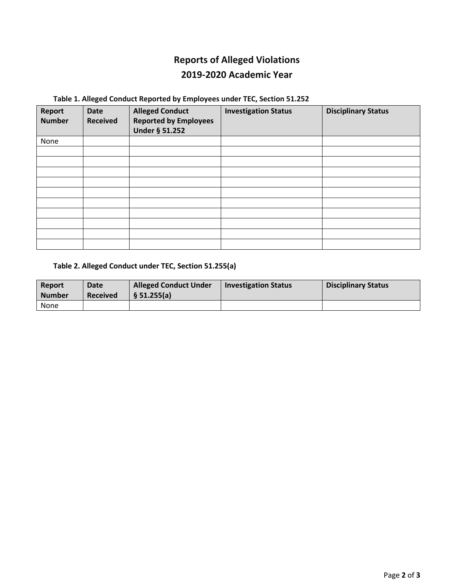# **Reports of Alleged Violations 2019-2020 Academic Year**

## **Table 1. Alleged Conduct Reported by Employees under TEC, Section 51.252**

| Report<br><b>Number</b> | <b>Date</b><br><b>Received</b> | <b>Alleged Conduct</b><br><b>Reported by Employees</b><br>Under § 51.252 | <b>Investigation Status</b> | <b>Disciplinary Status</b> |
|-------------------------|--------------------------------|--------------------------------------------------------------------------|-----------------------------|----------------------------|
| None                    |                                |                                                                          |                             |                            |
|                         |                                |                                                                          |                             |                            |
|                         |                                |                                                                          |                             |                            |
|                         |                                |                                                                          |                             |                            |
|                         |                                |                                                                          |                             |                            |
|                         |                                |                                                                          |                             |                            |
|                         |                                |                                                                          |                             |                            |
|                         |                                |                                                                          |                             |                            |
|                         |                                |                                                                          |                             |                            |
|                         |                                |                                                                          |                             |                            |
|                         |                                |                                                                          |                             |                            |

#### **Table 2. Alleged Conduct under TEC, Section 51.255(a)**

| Report<br><b>Number</b> | Date<br><b>Received</b> | <b>Alleged Conduct Under</b><br>§ 51.255(a) | <b>Investigation Status</b> | <b>Disciplinary Status</b> |
|-------------------------|-------------------------|---------------------------------------------|-----------------------------|----------------------------|
| None                    |                         |                                             |                             |                            |